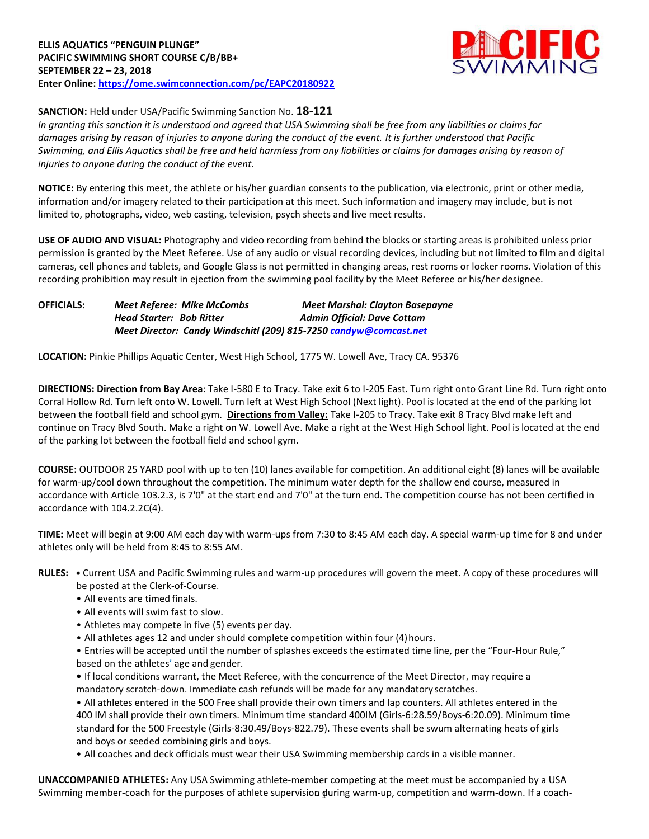

# **SANCTION:** Held under USA/Pacific Swimming Sanction No. **18-121**

*In granting this sanction it is understood and agreed that USA Swimming shall be free from any liabilities or claims for damages arising by reason of injuries to anyone during the conduct of the event. It is further understood that Pacific Swimming, and Ellis Aquatics shall be free and held harmless from any liabilities or claims for damages arising by reason of injuries to anyone during the conduct of the event.*

**NOTICE:** By entering this meet, the athlete or his/her guardian consents to the publication, via electronic, print or other media, information and/or imagery related to their participation at this meet. Such information and imagery may include, but is not limited to, photographs, video, web casting, television, psych sheets and live meet results.

**USE OF AUDIO AND VISUAL:** Photography and video recording from behind the blocks or starting areas is prohibited unless prior permission is granted by the Meet Referee. Use of any audio or visual recording devices, including but not limited to film and digital cameras, cell phones and tablets, and Google Glass is not permitted in changing areas, rest rooms or locker rooms. Violation of this recording prohibition may result in ejection from the swimming pool facility by the Meet Referee or his/her designee.

**OFFICIALS:** *Meet Referee: Mike McCombs Meet Marshal: Clayton Basepayne Head Starter: Bob Ritter* **Admin Official: Dave Cottam** *Meet Director: Candy Windschitl (209) 815-725[0 candyw@comcast.net](mailto:candyw@comcast.net)*

**LOCATION:** Pinkie Phillips Aquatic Center, West High School, 1775 W. Lowell Ave, Tracy CA. 95376

**DIRECTIONS: Direction from Bay Area**: Take I-580 E to Tracy. Take exit 6 to I-205 East. Turn right onto Grant Line Rd. Turn right onto Corral Hollow Rd. Turn left onto W. Lowell. Turn left at West High School (Next light). Pool is located at the end of the parking lot between the football field and school gym. **Directions from Valley:** Take I-205 to Tracy. Take exit 8 Tracy Blvd make left and continue on Tracy Blvd South. Make a right on W. Lowell Ave. Make a right at the West High School light. Pool is located at the end of the parking lot between the football field and school gym.

**COURSE:** OUTDOOR 25 YARD pool with up to ten (10) lanes available for competition. An additional eight (8) lanes will be available for warm-up/cool down throughout the competition. The minimum water depth for the shallow end course, measured in accordance with Article 103.2.3, is 7'0" at the start end and 7'0" at the turn end. The competition course has not been certified in accordance with 104.2.2C(4).

**TIME:** Meet will begin at 9:00 AM each day with warm-ups from 7:30 to 8:45 AM each day. A special warm-up time for 8 and under athletes only will be held from 8:45 to 8:55 AM.

- **RULES: •** Current USA and Pacific Swimming rules and warm-up procedures will govern the meet. A copy of these procedures will be posted at the Clerk-of-Course.
	- All events are timed finals.
	- All events will swim fast to slow.
	- Athletes may compete in five (5) events per day.
	- All athletes ages 12 and under should complete competition within four (4)hours.

• Entries will be accepted until the number of splashes exceeds the estimated time line, per the "Four-Hour Rule," based on the athletes' age and gender.

**•** If local conditions warrant, the Meet Referee, with the concurrence of the Meet Director, may require a mandatory scratch-down. Immediate cash refunds will be made for any mandatory scratches.

• All athletes entered in the 500 Free shall provide their own timers and lap counters. All athletes entered in the 400 IM shall provide their own timers. Minimum time standard 400IM (Girls-6:28.59/Boys-6:20.09). Minimum time standard for the 500 Freestyle (Girls-8:30.49/Boys-822.79). These events shall be swum alternating heats of girls and boys or seeded combining girls and boys.

• All coaches and deck officials must wear their USA Swimming membership cards in a visible manner.

Swimming member-coach for the purposes of athlete supervision **during warm-up, competition and warm-down**. If a coach-**UNACCOMPANIED ATHLETES:** Any USA Swimming athlete-member competing at the meet must be accompanied by a USA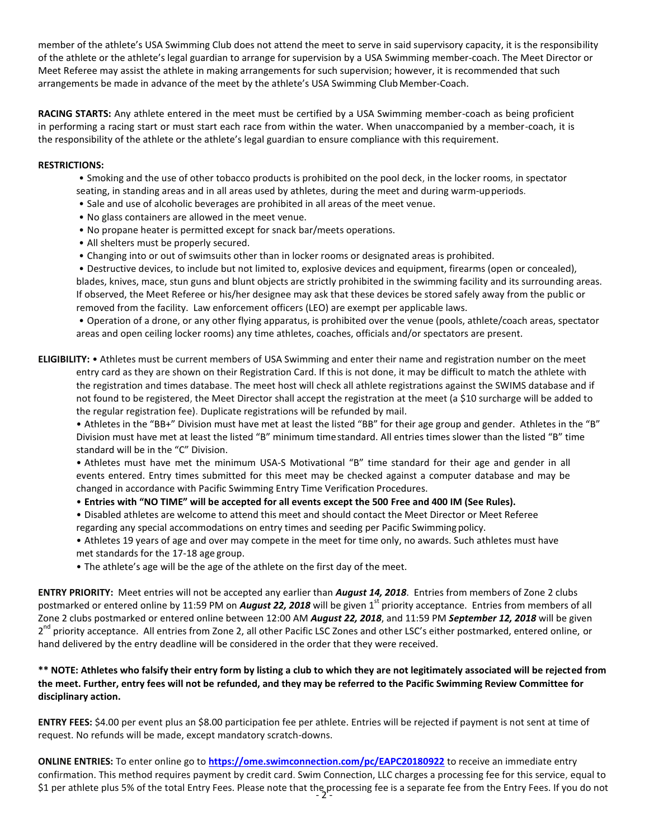member of the athlete's USA Swimming Club does not attend the meet to serve in said supervisory capacity, it is the responsibility of the athlete or the athlete's legal guardian to arrange for supervision by a USA Swimming member-coach. The Meet Director or Meet Referee may assist the athlete in making arrangements for such supervision; however, it is recommended that such arrangements be made in advance of the meet by the athlete's USA Swimming ClubMember-Coach.

**RACING STARTS:** Any athlete entered in the meet must be certified by a USA Swimming member-coach as being proficient in performing a racing start or must start each race from within the water. When unaccompanied by a member-coach, it is the responsibility of the athlete or the athlete's legal guardian to ensure compliance with this requirement.

## **RESTRICTIONS:**

- Smoking and the use of other tobacco products is prohibited on the pool deck, in the locker rooms, in spectator seating, in standing areas and in all areas used by athletes, during the meet and during warm-upperiods.
- Sale and use of alcoholic beverages are prohibited in all areas of the meet venue.
- No glass containers are allowed in the meet venue.
- No propane heater is permitted except for snack bar/meets operations.
- All shelters must be properly secured.
- Changing into or out of swimsuits other than in locker rooms or designated areas is prohibited.

• Destructive devices, to include but not limited to, explosive devices and equipment, firearms (open or concealed), blades, knives, mace, stun guns and blunt objects are strictly prohibited in the swimming facility and its surrounding areas. If observed, the Meet Referee or his/her designee may ask that these devices be stored safely away from the public or removed from the facility. Law enforcement officers (LEO) are exempt per applicable laws.

• Operation of a drone, or any other flying apparatus, is prohibited over the venue (pools, athlete/coach areas, spectator areas and open ceiling locker rooms) any time athletes, coaches, officials and/or spectators are present.

**ELIGIBILITY:** • Athletes must be current members of USA Swimming and enter their name and registration number on the meet entry card as they are shown on their Registration Card. If this is not done, it may be difficult to match the athlete with the registration and times database. The meet host will check all athlete registrations against the SWIMS database and if not found to be registered, the Meet Director shall accept the registration at the meet (a \$10 surcharge will be added to the regular registration fee). Duplicate registrations will be refunded by mail.

• Athletes in the "BB+" Division must have met at least the listed "BB" for their age group and gender. Athletes in the "B" Division must have met at least the listed "B" minimum timestandard. All entries times slower than the listed "B" time standard will be in the "C" Division.

• Athletes must have met the minimum USA-S Motivational "B" time standard for their age and gender in all events entered. Entry times submitted for this meet may be checked against a computer database and may be changed in accordance with Pacific Swimming Entry Time Verification Procedures.

- **Entries with "NO TIME" will be accepted for all events except the 500 Free and 400 IM (See Rules).**
- Disabled athletes are welcome to attend this meet and should contact the Meet Director or Meet Referee regarding any special accommodations on entry times and seeding per Pacific Swimming policy.

• Athletes 19 years of age and over may compete in the meet for time only, no awards. Such athletes must have met standards for the 17-18 age group.

• The athlete's age will be the age of the athlete on the first day of the meet.

**ENTRY PRIORITY:** Meet entries will not be accepted any earlier than *August 14, 2018*. Entries from members of Zone 2 clubs postmarked or entered online by 11:59 PM on *August 22, 2018* will be given 1<sup>st</sup> priority acceptance. Entries from members of all Zone 2 clubs postmarked or entered online between 12:00 AM *August 22, 2018*, and 11:59 PM *September 12, 2018* will be given 2<sup>nd</sup> priority acceptance. All entries from Zone 2, all other Pacific LSC Zones and other LSC's either postmarked, entered online, or hand delivered by the entry deadline will be considered in the order that they were received.

## **\*\* NOTE: Athletes who falsify their entry form by listing a club to which they are not legitimately associated will be rejected from the meet. Further, entry fees will not be refunded, and they may be referred to the Pacific Swimming Review Committee for disciplinary action.**

**ENTRY FEES:** \$4.00 per event plus an \$8.00 participation fee per athlete. Entries will be rejected if payment is not sent at time of request. No refunds will be made, except mandatory scratch-downs.

\$1 per athlete plus 5% of the total Entry Fees. Please note that the processing fee is a separate fee from the Entry Fees. If you do not<br>-2-**ONLINE ENTRIES:** To enter online go to **<https://ome.swimconnection.com/pc/EAPC20180922>** to receive an immediate entry confirmation. This method requires payment by credit card. Swim Connection, LLC charges a processing fee for this service, equal to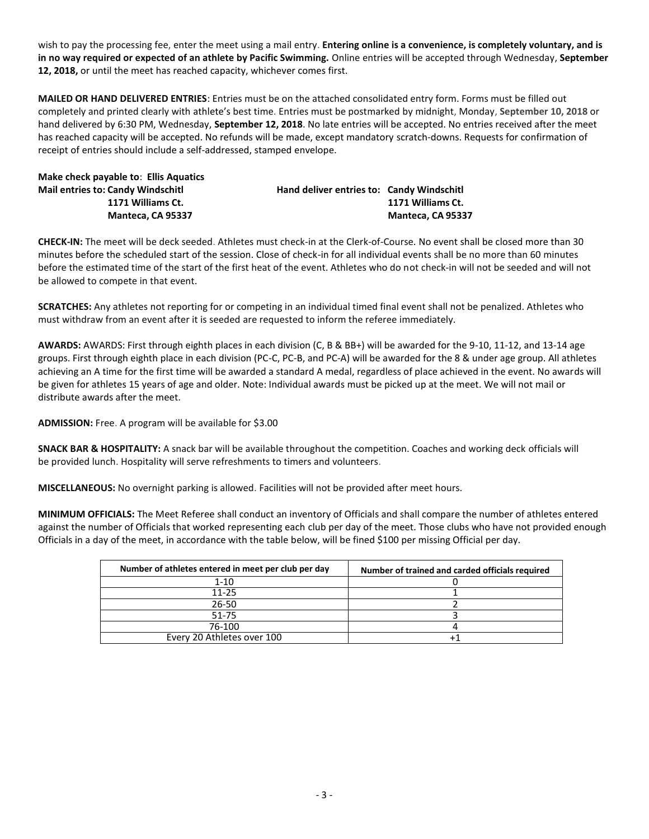wish to pay the processing fee, enter the meet using a mail entry. **Entering online is a convenience, is completely voluntary, and is in no way required or expected of an athlete by Pacific Swimming.** Online entries will be accepted through Wednesday, **September 12, 2018,** or until the meet has reached capacity, whichever comes first.

**MAILED OR HAND DELIVERED ENTRIES**: Entries must be on the attached consolidated entry form. Forms must be filled out completely and printed clearly with athlete's best time. Entries must be postmarked by midnight, Monday, **September 10, 2018** or hand delivered by 6:30 PM, Wednesday, **September 12, 2018**. No late entries will be accepted. No entries received after the meet has reached capacity will be accepted. No refunds will be made, except mandatory scratch-downs. Requests for confirmation of receipt of entries should include a self-addressed, stamped envelope.

| Make check payable to: Ellis Aquatics    |                                           |                   |
|------------------------------------------|-------------------------------------------|-------------------|
| <b>Mail entries to: Candy Windschitl</b> | Hand deliver entries to: Candy Windschitl |                   |
| 1171 Williams Ct.                        |                                           | 1171 Williams Ct. |
| Manteca. CA 95337                        |                                           | Manteca. CA 95337 |

**CHECK-IN:** The meet will be deck seeded. Athletes must check-in at the Clerk-of-Course. No event shall be closed more than 30 minutes before the scheduled start of the session. Close of check-in for all individual events shall be no more than 60 minutes before the estimated time of the start of the first heat of the event. Athletes who do not check-in will not be seeded and will not be allowed to compete in that event.

**SCRATCHES:** Any athletes not reporting for or competing in an individual timed final event shall not be penalized. Athletes who must withdraw from an event after it is seeded are requested to inform the referee immediately.

**AWARDS:** AWARDS: First through eighth places in each division (C, B & BB+) will be awarded for the 9-10, 11-12, and 13-14 age groups. First through eighth place in each division (PC-C, PC-B, and PC-A) will be awarded for the 8 & under age group. All athletes achieving an A time for the first time will be awarded a standard A medal, regardless of place achieved in the event. No awards will be given for athletes 15 years of age and older. Note: Individual awards must be picked up at the meet. We will not mail or distribute awards after the meet.

**ADMISSION:** Free. A program will be available for \$3.00

**SNACK BAR & HOSPITALITY:** A snack bar will be available throughout the competition. Coaches and working deck officials will be provided lunch. Hospitality will serve refreshments to timers and volunteers.

**MISCELLANEOUS:** No overnight parking is allowed. Facilities will not be provided after meet hours.

**MINIMUM OFFICIALS:** The Meet Referee shall conduct an inventory of Officials and shall compare the number of athletes entered against the number of Officials that worked representing each club per day of the meet. Those clubs who have not provided enough Officials in a day of the meet, in accordance with the table below, will be fined \$100 per missing Official per day.

| Number of athletes entered in meet per club per day | Number of trained and carded officials required |
|-----------------------------------------------------|-------------------------------------------------|
| 1-10                                                |                                                 |
| $11 - 25$                                           |                                                 |
| 26-50                                               |                                                 |
| 51-75                                               |                                                 |
| 76-100                                              |                                                 |
| Every 20 Athletes over 100                          |                                                 |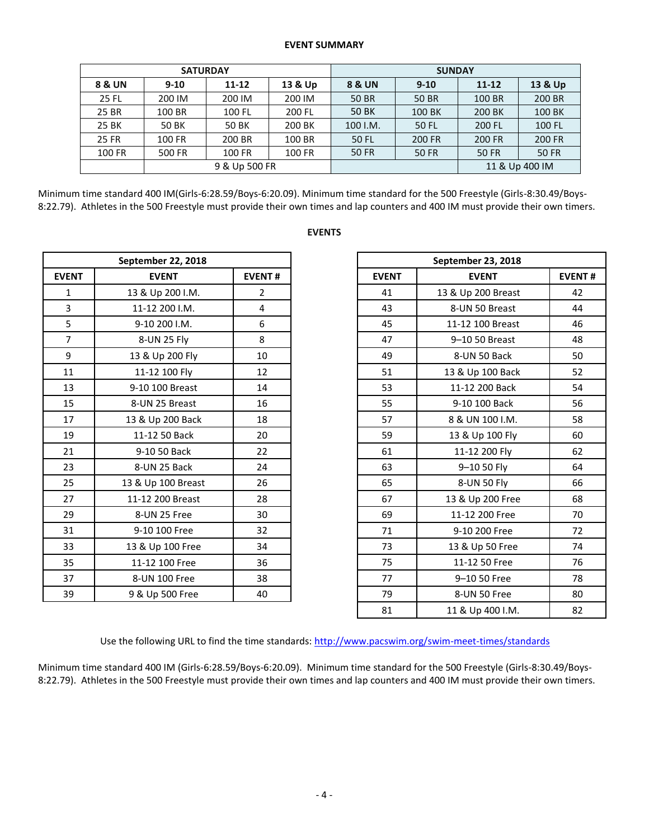#### **EVENT SUMMARY**

|                   | <b>SATURDAY</b> |               |         | <b>SUNDAY</b>     |              |               |              |  |  |  |
|-------------------|-----------------|---------------|---------|-------------------|--------------|---------------|--------------|--|--|--|
| <b>8 &amp; UN</b> | $9 - 10$        | $11 - 12$     | 13 & Up | <b>8 &amp; UN</b> | $9 - 10$     | $11 - 12$     | 13 & Up      |  |  |  |
| <b>25 FL</b>      | 200 IM          | 200 IM        | 200 IM  | <b>50 BR</b>      | <b>50 BR</b> | 100 BR        | 200 BR       |  |  |  |
| 25 BR             | 100 BR          | 100 FL        | 200 FL  | 50 BK             | 100 BK       | 200 BK        | 100 BK       |  |  |  |
| 25 BK             | 50 BK           | 50 BK         | 200 BK  | 100 I.M.          | 50 FL        | 200 FL        | 100 FL       |  |  |  |
| 25 FR             | 100 FR          | 200 BR        | 100 BR  | 50 FL             | 200 FR       | <b>200 FR</b> | 200 FR       |  |  |  |
| 100 FR            | 500 FR          | 100 FR        | 100 FR  | <b>50 FR</b>      | <b>50 FR</b> | <b>50 FR</b>  | <b>50 FR</b> |  |  |  |
|                   |                 | 9 & Up 500 FR |         | 11 & Up 400 IM    |              |               |              |  |  |  |

Minimum time standard 400 IM(Girls-6:28.59/Boys-6:20.09). Minimum time standard for the 500 Freestyle (Girls-8:30.49/Boys-8:22.79). Athletes in the 500 Freestyle must provide their own times and lap counters and 400 IM must provide their own timers.

|                | September 22, 2018 |                |
|----------------|--------------------|----------------|
| <b>EVENT</b>   | <b>EVENT</b>       | <b>EVENT#</b>  |
| $\mathbf{1}$   | 13 & Up 200 I.M.   | $\overline{2}$ |
| $\overline{3}$ | 11-12 200 I.M.     | 4              |
| 5              | 9-10 200 I.M.      | 6              |
| $\overline{7}$ | 8-UN 25 Fly        | 8              |
| 9              | 13 & Up 200 Fly    | 10             |
| 11             | 11-12 100 Fly      | 12             |
| 13             | 9-10 100 Breast    | 14             |
| 15             | 8-UN 25 Breast     | 16             |
| 17             | 13 & Up 200 Back   | 18             |
| 19             | 11-12 50 Back      | 20             |
| 21             | 9-10 50 Back       | 22             |
| 23             | 8-UN 25 Back       | 24             |
| 25             | 13 & Up 100 Breast | 26             |
| 27             | 11-12 200 Breast   | 28             |
| 29             | 8-UN 25 Free       | 30             |
| 31             | 9-10 100 Free      | 32             |
| 33             | 13 & Up 100 Free   | 34             |
| 35             | 11-12 100 Free     | 36             |
| 37             | 8-UN 100 Free      | 38             |
| 39             | 9 & Up 500 Free    | 40             |

## **EVENTS**

|                | September 22, 2018 |                |
|----------------|--------------------|----------------|
| <b>EVENT</b>   | <b>EVENT</b>       | <b>EVENT#</b>  |
| $\mathbf{1}$   | 13 & Up 200 I.M.   | $\overline{2}$ |
| $\overline{3}$ | 11-12 200 I.M.     | 4              |
| 5              | 9-10 200 I.M.      | 6              |
| $\overline{7}$ | 8-UN 25 Fly        | 8              |
| 9              | 13 & Up 200 Fly    | 10             |
| 11             | 11-12 100 Fly      | 12             |
| 13             | 9-10 100 Breast    | 14             |
| 15             | 8-UN 25 Breast     | 16             |
| 17             | 13 & Up 200 Back   | 18             |
| 19             | 11-12 50 Back      | 20             |
| 21             | 9-10 50 Back       | 22             |
| 23             | 8-UN 25 Back       | 24             |
| 25             | 13 & Up 100 Breast | 26             |
| 27             | 11-12 200 Breast   | 28             |
| 29             | 8-UN 25 Free       | 30             |
| 31             | 9-10 100 Free      | 32             |
| 33             | 13 & Up 100 Free   | 34             |
| 35             | 11-12 100 Free     | 36             |
| 37             | 8-UN 100 Free      | 38             |
| 39             | 9 & Up 500 Free    | 40             |
|                |                    |                |

Use the following URL to find the time standards[: http://www.pacswim.org/swim-meet-times/standards](http://www.pacswim.org/swim-meet-times/standards)

Minimum time standard 400 IM (Girls-6:28.59/Boys-6:20.09). Minimum time standard for the 500 Freestyle (Girls-8:30.49/Boys-8:22.79). Athletes in the 500 Freestyle must provide their own times and lap counters and 400 IM must provide their own timers.